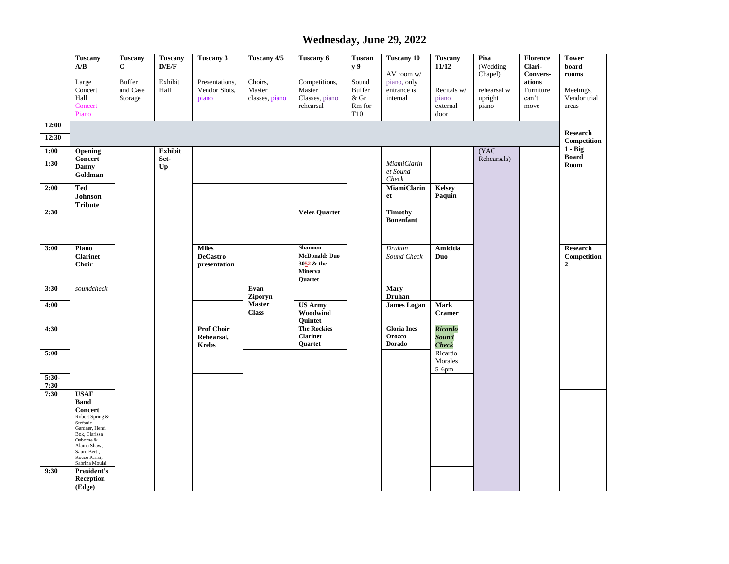## **Wednesday, June 29, 2022**

|                 | <b>Tuscany</b><br>A/B<br>Large<br>Concert<br>Hall<br>Concert<br>Piano                                                                                                                                         | <b>Tuscany</b><br>$\mathbf C$<br><b>Buffer</b><br>and Case<br>Storage | <b>Tuscany</b><br>D/E/F<br>Exhibit<br>Hall | Tuscany 3<br>Presentations,<br>Vendor Slots,<br>piano | Tuscany 4/5<br>Choirs,<br>Master<br>classes, piano | Tuscany 6<br>Competitions,<br>Master<br>Classes, piano<br>rehearsal               | Tuscan<br>y 9<br>Sound<br><b>Buffer</b><br>$&$ Gr<br>Rm for<br>T <sub>10</sub> | <b>Tuscany 10</b><br>AV room w/<br>piano, only<br>entrance is<br>internal | <b>Tuscany</b><br>11/12<br>Recitals w/<br>piano<br>external<br>door | Pisa<br>(Wedding<br>Chapel)<br>rehearsal w<br>upright<br>piano | Florence<br>Clari-<br><b>Convers-</b><br>ations<br>Furniture<br>can't<br>move | <b>Tower</b><br>board<br>rooms<br>Meetings,<br>Vendor trial<br>areas |
|-----------------|---------------------------------------------------------------------------------------------------------------------------------------------------------------------------------------------------------------|-----------------------------------------------------------------------|--------------------------------------------|-------------------------------------------------------|----------------------------------------------------|-----------------------------------------------------------------------------------|--------------------------------------------------------------------------------|---------------------------------------------------------------------------|---------------------------------------------------------------------|----------------------------------------------------------------|-------------------------------------------------------------------------------|----------------------------------------------------------------------|
| 12:00           |                                                                                                                                                                                                               |                                                                       |                                            |                                                       |                                                    |                                                                                   |                                                                                |                                                                           |                                                                     |                                                                |                                                                               | <b>Research</b>                                                      |
| 12:30           |                                                                                                                                                                                                               |                                                                       |                                            |                                                       |                                                    |                                                                                   |                                                                                |                                                                           |                                                                     |                                                                |                                                                               | Competition<br>$1 - Big$                                             |
| 1:00            | Opening<br><b>Concert</b>                                                                                                                                                                                     |                                                                       | <b>Exhibit</b><br>Set-                     |                                                       |                                                    |                                                                                   |                                                                                |                                                                           |                                                                     | (YAC)<br>Rehearsals)                                           |                                                                               | <b>Board</b>                                                         |
| 1:30            | <b>Danny</b><br>Goldman                                                                                                                                                                                       |                                                                       | $U_{p}$                                    |                                                       |                                                    |                                                                                   |                                                                                | <b>MiamiClarin</b><br>et Sound<br>Check                                   |                                                                     |                                                                |                                                                               | Room                                                                 |
| 2:00            | <b>Ted</b><br><b>Johnson</b>                                                                                                                                                                                  |                                                                       |                                            |                                                       |                                                    |                                                                                   |                                                                                | <b>MiamiClarin</b><br>et                                                  | <b>Kelsey</b><br>Paquin                                             |                                                                |                                                                               |                                                                      |
| 2:30            | <b>Tribute</b>                                                                                                                                                                                                |                                                                       |                                            |                                                       |                                                    | <b>Velez Quartet</b>                                                              |                                                                                | <b>Timothy</b><br><b>Bonenfant</b>                                        |                                                                     |                                                                |                                                                               |                                                                      |
| 3:00            | Plano<br><b>Clarinet</b><br><b>Choir</b>                                                                                                                                                                      |                                                                       |                                            | <b>Miles</b><br><b>DeCastro</b><br>presentation       |                                                    | <b>Shannon</b><br>McDonald: Duo<br>3052 & the<br><b>Minerva</b><br><b>Ouartet</b> |                                                                                | Druhan<br>Sound Check                                                     | Amicitia<br>Duo                                                     |                                                                |                                                                               | <b>Research</b><br>Competition<br>$\overline{2}$                     |
| 3:30            | soundcheck                                                                                                                                                                                                    |                                                                       |                                            |                                                       | Evan<br>Ziporyn                                    |                                                                                   |                                                                                | <b>Mary</b><br><b>Druhan</b>                                              |                                                                     |                                                                |                                                                               |                                                                      |
| 4:00            |                                                                                                                                                                                                               |                                                                       |                                            |                                                       | <b>Master</b><br><b>Class</b>                      | <b>US Army</b><br>Woodwind<br>Quintet                                             |                                                                                | <b>James Logan</b>                                                        | <b>Mark</b><br><b>Cramer</b>                                        |                                                                |                                                                               |                                                                      |
| 4:30            |                                                                                                                                                                                                               |                                                                       |                                            | <b>Prof Choir</b><br>Rehearsal,<br><b>Krebs</b>       |                                                    | <b>The Rockies</b><br><b>Clarinet</b><br>Quartet                                  |                                                                                | <b>Gloria</b> Ines<br>Orozco<br><b>Dorado</b>                             | <b>Ricardo</b><br><b>Sound</b><br><b>Check</b>                      |                                                                |                                                                               |                                                                      |
| 5:00            |                                                                                                                                                                                                               |                                                                       |                                            |                                                       |                                                    |                                                                                   |                                                                                |                                                                           | Ricardo<br>Morales<br>$5-6$ pm                                      |                                                                |                                                                               |                                                                      |
| $5:30-$<br>7:30 |                                                                                                                                                                                                               |                                                                       |                                            |                                                       |                                                    |                                                                                   |                                                                                |                                                                           |                                                                     |                                                                |                                                                               |                                                                      |
| 7:30<br>9:30    | <b>USAF</b><br><b>Band</b><br><b>Concert</b><br>Robert Spring &<br>Stefanie<br>Gardner, Henri<br>Bok, Clarissa<br>Osborne &<br>Alaina Shaw,<br>Sauro Berti,<br>Rocco Parisi,<br>Sabrina Moulai<br>President's |                                                                       |                                            |                                                       |                                                    |                                                                                   |                                                                                |                                                                           |                                                                     |                                                                |                                                                               |                                                                      |
|                 | Reception<br>(Edge)                                                                                                                                                                                           |                                                                       |                                            |                                                       |                                                    |                                                                                   |                                                                                |                                                                           |                                                                     |                                                                |                                                                               |                                                                      |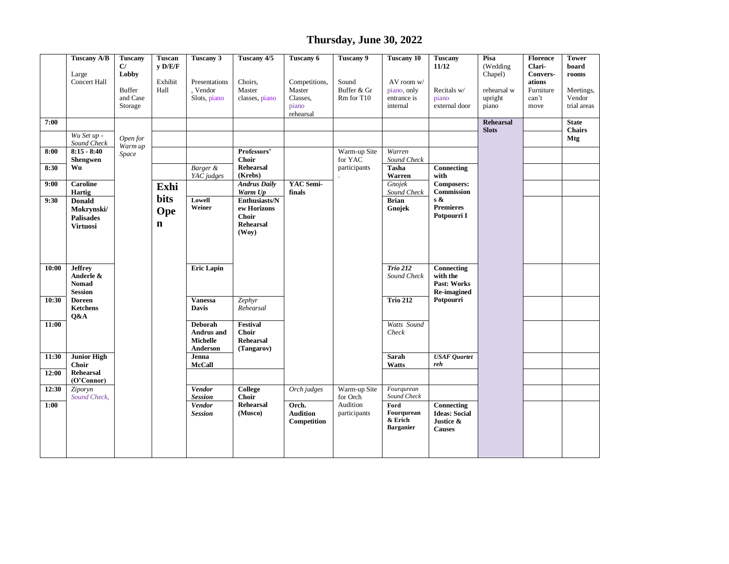## **Thursday, June 30, 2022**

| <b>Tuscany A/B</b>                                                           | <b>Tuscany</b><br>C/                                            | Tuscan<br>V D/E/F          | Tuscany 3                                       | Tuscany 4/5                                                                               | Tuscany 6                                                 | Tuscany 9                          | <b>Tuscany 10</b>                                    | <b>Tuscany</b><br>11/12                                          | Pisa<br>(Wedding                               | <b>Florence</b><br>Clari-            | <b>Tower</b><br>board<br>rooms              |
|------------------------------------------------------------------------------|-----------------------------------------------------------------|----------------------------|-------------------------------------------------|-------------------------------------------------------------------------------------------|-----------------------------------------------------------|------------------------------------|------------------------------------------------------|------------------------------------------------------------------|------------------------------------------------|--------------------------------------|---------------------------------------------|
| <b>Concert Hall</b>                                                          | <b>Buffer</b><br>and Case<br>Storage                            | Exhibit<br>Hall            | Presentations<br>Vendor<br>Slots, piano         | Choirs,<br>Master<br>classes, piano                                                       | Competitions,<br>Master<br>Classes,<br>piano<br>rehearsal | Sound<br>Buffer & Gr<br>Rm for T10 | AV room w/<br>piano, only<br>entrance is<br>internal | Recitals w/<br>piano<br>external door                            | rehearsal w<br>upright<br>piano                | ations<br>Furniture<br>can't<br>move | Meetings,<br>Vendor<br>trial areas          |
| Wu Set up -                                                                  |                                                                 |                            |                                                 |                                                                                           |                                                           |                                    |                                                      |                                                                  | <b>Rehearsal</b><br><b>Slots</b>               |                                      | <b>State</b><br><b>Chairs</b><br><b>Mtg</b> |
| $8:15 - 8:40$<br><b>Shengwen</b>                                             | Warm up<br>Space                                                |                            |                                                 | Professors'<br><b>Choir</b>                                                               |                                                           | Warm-up Site<br>for YAC            | Warren<br>Sound Check                                |                                                                  |                                                |                                      |                                             |
|                                                                              |                                                                 |                            | YAC judges                                      | (Krebs)                                                                                   |                                                           |                                    | Warren                                               | with                                                             |                                                |                                      |                                             |
| Hartig<br><b>Donald</b><br>Mokrynski/<br><b>Palisades</b><br><b>Virtuosi</b> |                                                                 | bits<br>Ope<br>$\mathbf n$ | Lowell<br>Weiner                                | Warm Up<br>Enthusiasts/N<br>$\,$ ew Horizons<br><b>Choir</b><br><b>Rehearsal</b><br>(Wov) | finals                                                    |                                    | Sound Check<br><b>Brian</b><br>Gnojek                | Commission<br>s &<br><b>Premieres</b><br>Potpourri I             |                                                |                                      |                                             |
| <b>Jeffrey</b><br>Anderle &<br><b>Nomad</b>                                  |                                                                 |                            | <b>Eric Lapin</b>                               |                                                                                           |                                                           |                                    | <b>Trio 212</b><br>Sound Check                       | Connecting<br>with the<br><b>Past: Works</b>                     |                                                |                                      |                                             |
| <b>Doreen</b><br><b>Ketchens</b>                                             |                                                                 |                            | <b>Vanessa</b><br><b>Davis</b>                  | Zephyr<br>Rehearsal                                                                       |                                                           |                                    | <b>Trio 212</b>                                      | Potpourri                                                        |                                                |                                      |                                             |
|                                                                              |                                                                 |                            | <b>Deborah</b><br>Andrus and<br><b>Michelle</b> | Festival<br><b>Choir</b><br><b>Rehearsal</b>                                              |                                                           |                                    | Watts Sound<br>Check                                 |                                                                  |                                                |                                      |                                             |
| <b>Junior High</b><br><b>Choir</b><br>Rehearsal                              |                                                                 |                            | Jenna<br><b>McCall</b>                          |                                                                                           |                                                           |                                    | Sarah<br>Watts                                       | <b>USAF</b> Quartet<br>reh                                       |                                                |                                      |                                             |
| $(O^{\prime}Connor)$<br>Ziporyn<br>Sound Check.                              |                                                                 |                            | <b>Vendor</b><br><b>Session</b>                 | College<br><b>Choir</b>                                                                   | Orch judges                                               | Warm-up Site<br>for Orch           | Fourgurean<br>Sound Check                            |                                                                  |                                                |                                      |                                             |
|                                                                              |                                                                 |                            | <b>Vendor</b><br><b>Session</b>                 | <b>Rehearsal</b><br>(Musco)                                                               | Orch.<br><b>Audition</b><br>Competition                   | Audition<br>participants           | Ford<br>Fourqurean<br>& Erich<br><b>Barganier</b>    | Connecting<br><b>Ideas: Social</b><br>Justice &<br><b>Causes</b> |                                                |                                      |                                             |
|                                                                              | Large<br>Sound Check<br>Wu<br>Caroline<br><b>Session</b><br>Q&A | Lobby<br>Open for          | Exhi                                            | Barger &<br>Anderson                                                                      | <b>Rehearsal</b><br><b>Andrus Daily</b><br>(Tangarov)     | YAC Semi-                          | participants                                         | Tasha<br>Gnojek                                                  | Connecting<br><b>Composers:</b><br>Re-imagined | Chapel)                              | Convers-                                    |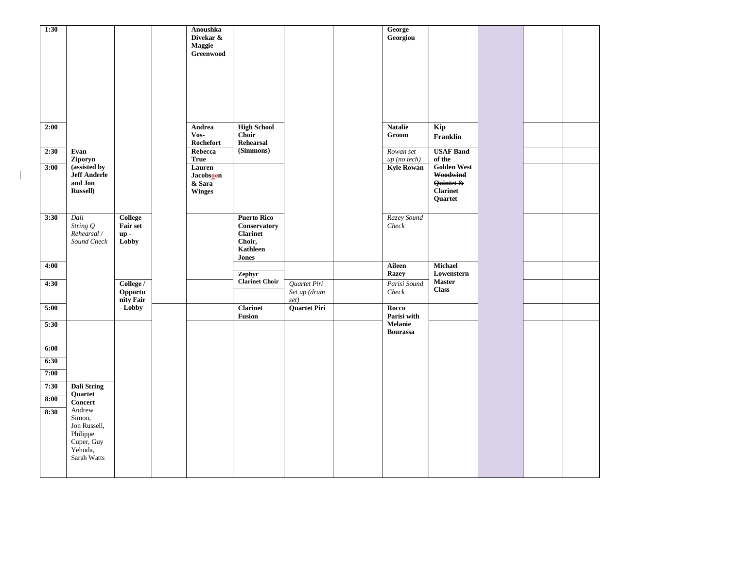| 1:30         |                                                                                      |                                            | Anoushka<br>Divekar &<br>Maggie<br>Greenwood   |                                                                                      |                                      | George<br>Georgiou                |                                                                  |  |  |
|--------------|--------------------------------------------------------------------------------------|--------------------------------------------|------------------------------------------------|--------------------------------------------------------------------------------------|--------------------------------------|-----------------------------------|------------------------------------------------------------------|--|--|
|              |                                                                                      |                                            |                                                |                                                                                      |                                      |                                   |                                                                  |  |  |
| 2:00         |                                                                                      |                                            | Andrea<br>Vos-<br>Rochefort                    | <b>High School</b><br>Choir<br>Rehearsal                                             |                                      | <b>Natalie</b><br>Groom           | Kip<br>Franklin                                                  |  |  |
| 2:30         | Evan<br>Ziporyn                                                                      |                                            | Rebecca<br><b>True</b>                         | (Simmons)                                                                            |                                      | Rowan set<br>$up$ (no tech)       | <b>USAF Band</b><br>of the                                       |  |  |
| 3:00         | (assisted by<br><b>Jeff Anderle</b><br>and Jon<br><b>Russell</b> )                   |                                            | Lauren<br>Jacobsoen<br>& Sara<br><b>Winges</b> |                                                                                      |                                      | <b>Kyle Rowan</b>                 | Golden West $\,$<br>Woodwind<br>Quintet &<br>Clarinet<br>Quartet |  |  |
| 3:30         | Dali<br>String Q<br>Rehearsal /<br>Sound Check                                       | College<br><b>Fair set</b><br>up-<br>Lobby |                                                | <b>Puerto Rico</b><br>Conservatory<br><b>Clarinet</b><br>Choir,<br>Kathleen<br>Jones |                                      | Razey Sound<br>Check              |                                                                  |  |  |
| 4:00         |                                                                                      |                                            |                                                | Zephyr                                                                               |                                      | Aileen<br><b>Razey</b>            | <b>Michael</b><br>Lowenstern                                     |  |  |
| 4:30         |                                                                                      | College /<br>Opportu<br>nity Fair          |                                                | <b>Clarinet Choir</b>                                                                | Quartet Piri<br>Set up (drum<br>set) | Parisi Sound<br>Check             | <b>Master</b><br><b>Class</b>                                    |  |  |
| 5:00         |                                                                                      | - Lobby                                    |                                                | Clarinet<br>Fusion                                                                   | <b>Quartet Piri</b>                  | Rocco<br>Parisi with              |                                                                  |  |  |
| 5:30         |                                                                                      |                                            |                                                |                                                                                      |                                      | <b>Melanie</b><br><b>Bourassa</b> |                                                                  |  |  |
| 6:00         |                                                                                      |                                            |                                                |                                                                                      |                                      |                                   |                                                                  |  |  |
| 6:30<br>7:00 |                                                                                      |                                            |                                                |                                                                                      |                                      |                                   |                                                                  |  |  |
| 7:30         | <b>Dali String</b>                                                                   |                                            |                                                |                                                                                      |                                      |                                   |                                                                  |  |  |
| 8:00         | Quartet<br><b>Concert</b>                                                            |                                            |                                                |                                                                                      |                                      |                                   |                                                                  |  |  |
| 8:30         | Andrew<br>Simon,<br>Jon Russell,<br>Philippe<br>Cuper, Guy<br>Yehuda,<br>Sarah Watts |                                            |                                                |                                                                                      |                                      |                                   |                                                                  |  |  |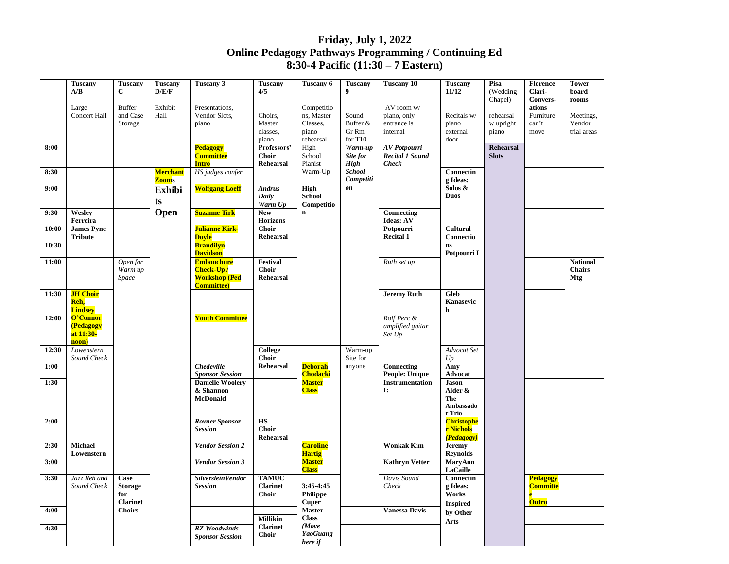## **Friday, July 1, 2022 Online Pedagogy Pathways Programming / Continuing Ed 8:30-4 Pacific (11:30 – 7 Eastern)**

|       | <b>Tuscany</b>                      | <b>Tuscany</b>        | <b>Tuscany</b>  | <b>Tuscany 3</b>                      | <b>Tuscany</b>                   | Tuscany 6                        | <b>Tuscany</b>     | <b>Tuscany 10</b>             | <b>Tuscany</b>                   | Pisa                | <b>Florence</b>                    | <b>Tower</b>                |
|-------|-------------------------------------|-----------------------|-----------------|---------------------------------------|----------------------------------|----------------------------------|--------------------|-------------------------------|----------------------------------|---------------------|------------------------------------|-----------------------------|
|       | A/B                                 | $\mathbf{C}$          | D/E/F           |                                       | 4/5                              |                                  | 9                  |                               | 11/12                            | (Wedding<br>Chapel) | Clari-<br>Convers-                 | board<br>rooms              |
|       | Large                               | <b>Buffer</b>         | Exhibit         | Presentations,                        |                                  | Competitio                       |                    | AV room w/                    |                                  |                     | ations                             |                             |
|       | Concert Hall                        | and Case              | Hall            | Vendor Slots,                         | Choirs,                          | ns, Master                       | Sound              | piano, only                   | Recitals w/                      | rehearsal           | Furniture                          | Meetings,                   |
|       |                                     | Storage               |                 | piano                                 | Master                           | Classes,                         | Buffer &           | entrance is                   | piano                            | w upright           | can't                              | Vendor                      |
|       |                                     |                       |                 |                                       | classes.<br>piano                | piano<br>rehearsal               | Gr Rm<br>for $T10$ | internal                      | external<br>door                 | piano               | move                               | trial areas                 |
| 8:00  |                                     |                       |                 | Pedagogy                              | Professors'                      | High                             | Warm-up            | AV Potpourri                  |                                  | <b>Rehearsal</b>    |                                    |                             |
|       |                                     |                       |                 | <b>Committee</b>                      | <b>Choir</b>                     | School                           | Site for           | <b>Recital 1 Sound</b>        |                                  | <b>Slots</b>        |                                    |                             |
|       |                                     |                       |                 | <b>Intro</b>                          | <b>Rehearsal</b>                 | Pianist                          | High               | <b>Check</b>                  |                                  |                     |                                    |                             |
| 8:30  |                                     |                       | <b>Merchant</b> | HS judges confer                      |                                  | Warm-Up                          | <b>School</b>      |                               | <b>Connectin</b>                 |                     |                                    |                             |
| 9:00  |                                     |                       | <b>Zooms</b>    | <b>Wolfgang Loeff</b>                 | <b>Andrus</b>                    | High                             | Competiti<br>on    |                               | g Ideas:<br>Solos &              |                     |                                    |                             |
|       |                                     |                       | <b>Exhibi</b>   |                                       | Daily                            | <b>School</b>                    |                    |                               | <b>Duos</b>                      |                     |                                    |                             |
|       |                                     |                       | ts              |                                       | Warm Up                          | Competitio                       |                    |                               |                                  |                     |                                    |                             |
| 9:30  | Wesley                              |                       | Open            | <b>Suzanne Tirk</b>                   | <b>New</b>                       | $\mathbf n$                      |                    | Connecting                    |                                  |                     |                                    |                             |
|       | Ferreira                            |                       |                 |                                       | <b>Horizons</b>                  |                                  |                    | Ideas: AV                     |                                  |                     |                                    |                             |
| 10:00 | <b>James Pyne</b><br><b>Tribute</b> |                       |                 | <b>Julianne Kirk-</b><br><b>Doyle</b> | <b>Choir</b><br><b>Rehearsal</b> |                                  |                    | Potpourri<br><b>Recital 1</b> | Cultural<br>Connectio            |                     |                                    |                             |
| 10:30 |                                     |                       |                 | <b>Brandilyn</b>                      |                                  |                                  |                    |                               | <b>ns</b>                        |                     |                                    |                             |
|       |                                     |                       |                 | <b>Davidson</b>                       |                                  |                                  |                    |                               | Potpourri I                      |                     |                                    |                             |
| 11:00 |                                     | Open for              |                 | <b>Embouchure</b>                     | Festival                         |                                  |                    | Ruth set up                   |                                  |                     |                                    | <b>National</b>             |
|       |                                     | Warm up<br>Space      |                 | Check-Up/<br><b>Workshop (Ped</b>     | <b>Choir</b><br>Rehearsal        |                                  |                    |                               |                                  |                     |                                    | <b>Chairs</b><br><b>Mtg</b> |
|       |                                     |                       |                 | <b>Committee</b> )                    |                                  |                                  |                    |                               |                                  |                     |                                    |                             |
| 11:30 | <b>JH Choir</b>                     |                       |                 |                                       |                                  |                                  |                    | <b>Jeremy Ruth</b>            | Gleb                             |                     |                                    |                             |
|       | Reh,                                |                       |                 |                                       |                                  |                                  |                    |                               | Kanasevic                        |                     |                                    |                             |
| 12:00 | <b>Lindsey</b><br>O'Connor          |                       |                 | <b>Youth Committee</b>                |                                  |                                  |                    | Rolf Perc &                   | h                                |                     |                                    |                             |
|       | (Pedagogy                           |                       |                 |                                       |                                  |                                  |                    | amplified guitar              |                                  |                     |                                    |                             |
|       | at 11:30-                           |                       |                 |                                       |                                  |                                  |                    | Set Up                        |                                  |                     |                                    |                             |
|       | noon)                               |                       |                 |                                       |                                  |                                  |                    |                               |                                  |                     |                                    |                             |
| 12:30 | Lowenstern                          |                       |                 |                                       | <b>College</b>                   |                                  | Warm-up            |                               | Advocat Set                      |                     |                                    |                             |
| 1:00  | Sound Check                         |                       |                 | <b>Chedeville</b>                     | Choir<br><b>Rehearsal</b>        | <b>Deborah</b>                   | Site for<br>anyone | Connecting                    | Up<br>Amy                        |                     |                                    |                             |
|       |                                     |                       |                 | <b>Sponsor Session</b>                |                                  | <b>Chodacki</b>                  |                    | <b>People: Unique</b>         | Advocat                          |                     |                                    |                             |
| 1:30  |                                     |                       |                 | <b>Danielle Woolerv</b>               |                                  | <b>Master</b>                    |                    | Instrumentation               | <b>Jason</b>                     |                     |                                    |                             |
|       |                                     |                       |                 | & Shannon                             |                                  | <b>Class</b>                     |                    | I:                            | Alder &                          |                     |                                    |                             |
|       |                                     |                       |                 | <b>McDonald</b>                       |                                  |                                  |                    |                               | The<br>Ambassado                 |                     |                                    |                             |
|       |                                     |                       |                 |                                       |                                  |                                  |                    |                               | r Trio                           |                     |                                    |                             |
| 2:00  |                                     |                       |                 | <b>Rovner Sponsor</b>                 | <b>HS</b>                        |                                  |                    |                               | <b>Christophe</b>                |                     |                                    |                             |
|       |                                     |                       |                 | <b>Session</b>                        | <b>Choir</b>                     |                                  |                    |                               | r Nichols                        |                     |                                    |                             |
| 2:30  | Michael                             |                       |                 |                                       | <b>Rehearsal</b>                 |                                  |                    | <b>Wonkak Kim</b>             | (Pedagogy)                       |                     |                                    |                             |
|       | Lowenstern                          |                       |                 | <b>Vendor Session 2</b>               |                                  | <b>Caroline</b><br><b>Hartig</b> |                    |                               | <b>Jeremy</b><br><b>Reynolds</b> |                     |                                    |                             |
| 3:00  |                                     |                       |                 | <b>Vendor Session 3</b>               |                                  | <b>Master</b>                    |                    | <b>Kathryn Vetter</b>         | <b>MaryAnn</b>                   |                     |                                    |                             |
|       |                                     |                       |                 |                                       |                                  | <b>Class</b>                     |                    |                               | <b>LaCaille</b>                  |                     |                                    |                             |
| 3:30  | Jazz Reh and                        | Case                  |                 | Silverstein Vendor                    | <b>TAMUC</b><br><b>Clarinet</b>  | 3:45-4:45                        |                    | Davis Sound                   | Connectin<br>g Ideas:            |                     | <b>Pedagogy</b><br><b>Committe</b> |                             |
|       | Sound Check                         | <b>Storage</b><br>for |                 | <b>Session</b>                        | <b>Choir</b>                     | <b>Philippe</b>                  |                    | Check                         | Works                            |                     | $\mathbf{e}$                       |                             |
|       |                                     | <b>Clarinet</b>       |                 |                                       |                                  | <b>Cuper</b>                     |                    |                               | <b>Inspired</b>                  |                     | <b>Outro</b>                       |                             |
| 4:00  |                                     | <b>Choirs</b>         |                 |                                       |                                  | <b>Master</b>                    |                    | <b>Vanessa Davis</b>          | by Other                         |                     |                                    |                             |
|       |                                     |                       |                 |                                       | Millikin                         | <b>Class</b>                     |                    |                               | <b>Arts</b>                      |                     |                                    |                             |
| 4:30  |                                     |                       |                 | <b>RZ</b> Woodwinds                   | <b>Clarinet</b><br><b>Choir</b>  | (Move<br><b>YaoGuang</b>         |                    |                               |                                  |                     |                                    |                             |
|       |                                     |                       |                 | <b>Sponsor Session</b>                |                                  | here if                          |                    |                               |                                  |                     |                                    |                             |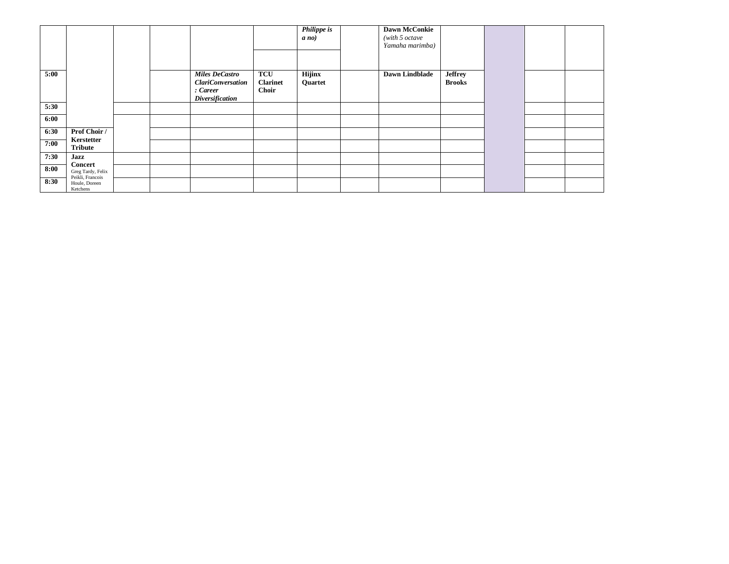|      |                                               |  |                                                                                         |                                        | <b>Philippe</b> is<br>$a$ no) | <b>Dawn McConkie</b><br>(with 5 octave<br>Yamaha marimba) |                                 |  |  |
|------|-----------------------------------------------|--|-----------------------------------------------------------------------------------------|----------------------------------------|-------------------------------|-----------------------------------------------------------|---------------------------------|--|--|
|      |                                               |  |                                                                                         |                                        |                               |                                                           |                                 |  |  |
| 5:00 |                                               |  | <b>Miles DeCastro</b><br><b>ClariConversation</b><br>: Career<br><b>Diversification</b> | <b>TCU</b><br><b>Clarinet</b><br>Choir | <b>Hijinx</b><br>Quartet      | <b>Dawn Lindblade</b>                                     | <b>Jeffrey</b><br><b>Brooks</b> |  |  |
| 5:30 |                                               |  |                                                                                         |                                        |                               |                                                           |                                 |  |  |
| 6:00 |                                               |  |                                                                                         |                                        |                               |                                                           |                                 |  |  |
| 6:30 | Prof Choir /                                  |  |                                                                                         |                                        |                               |                                                           |                                 |  |  |
| 7:00 | Kerstetter<br><b>Tribute</b>                  |  |                                                                                         |                                        |                               |                                                           |                                 |  |  |
| 7:30 | Jazz                                          |  |                                                                                         |                                        |                               |                                                           |                                 |  |  |
| 8:00 | Concert<br>Greg Tardy, Felix                  |  |                                                                                         |                                        |                               |                                                           |                                 |  |  |
| 8:30 | Peikli, Francois<br>Houle, Doreen<br>Ketchens |  |                                                                                         |                                        |                               |                                                           |                                 |  |  |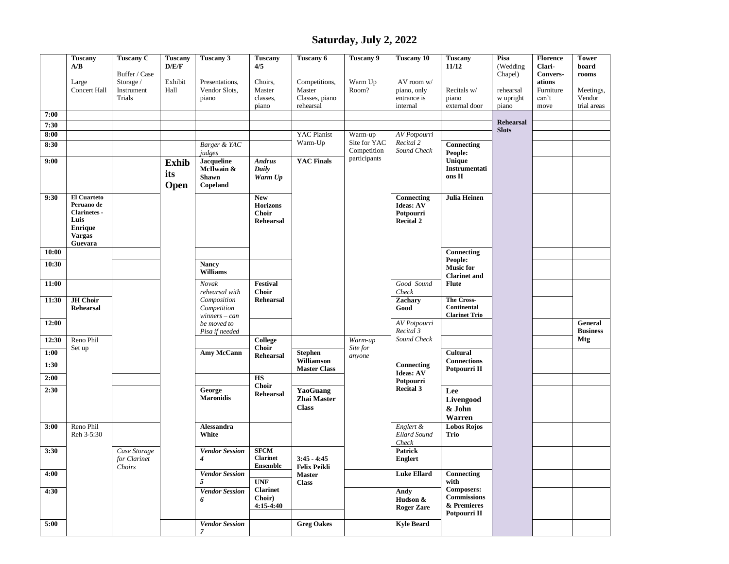## **Saturday, July 2, 2022**

|       | <b>Tuscany</b><br>A/B                                                                                         | <b>Tuscany C</b><br>Buffer / Case      | <b>Tuscany</b><br>D/E/F     | Tuscany 3                                                   | <b>Tuscany</b><br>4/5                                             | Tuscany 6                                              | <b>Tuscany 9</b>            | <b>Tuscany 10</b>                                               | <b>Tuscany</b><br>11/12                                                | Pisa<br>(Wedding<br>Chapel)      | <b>Florence</b><br>Clari-<br>Convers- | <b>Tower</b><br>board<br>rooms     |
|-------|---------------------------------------------------------------------------------------------------------------|----------------------------------------|-----------------------------|-------------------------------------------------------------|-------------------------------------------------------------------|--------------------------------------------------------|-----------------------------|-----------------------------------------------------------------|------------------------------------------------------------------------|----------------------------------|---------------------------------------|------------------------------------|
|       | Large<br>Concert Hall                                                                                         | Storage /<br>Instrument<br>Trials      | Exhibit<br>Hall             | Presentations,<br>Vendor Slots,<br>piano                    | Choirs,<br>Master<br>classes,<br>piano                            | Competitions,<br>Master<br>Classes, piano<br>rehearsal | Warm Up<br>Room?            | AV room w/<br>piano, only<br>entrance is<br>internal            | Recitals w/<br>piano<br>external door                                  | rehearsal<br>w upright<br>piano  | ations<br>Furniture<br>can't<br>move  | Meetings,<br>Vendor<br>trial areas |
| 7:00  |                                                                                                               |                                        |                             |                                                             |                                                                   |                                                        |                             |                                                                 |                                                                        |                                  |                                       |                                    |
| 7:30  |                                                                                                               |                                        |                             |                                                             |                                                                   |                                                        |                             |                                                                 |                                                                        | <b>Rehearsal</b><br><b>Slots</b> |                                       |                                    |
| 8:00  |                                                                                                               |                                        |                             |                                                             |                                                                   | <b>YAC Pianist</b><br>Warm-Up                          | Warm-up<br>Site for YAC     | AV Potpourri<br>Recital 2                                       |                                                                        |                                  |                                       |                                    |
| 8:30  |                                                                                                               |                                        |                             | Barger & YAC<br>judges                                      |                                                                   |                                                        | Competition<br>participants | Sound Check                                                     | Connecting<br>People:                                                  |                                  |                                       |                                    |
| 9:00  |                                                                                                               |                                        | <b>Exhib</b><br>its<br>Open | <b>Jacqueline</b><br>McIlwain &<br><b>Shawn</b><br>Copeland | <b>Andrus</b><br>Daily<br>Warm Up                                 | <b>YAC Finals</b>                                      |                             |                                                                 | Unique<br>Instrumentati<br>ons II                                      |                                  |                                       |                                    |
| 9:30  | <b>El Cuarteto</b><br>Peruano de<br><b>Clarinetes</b> -<br>Luis<br><b>Enrique</b><br><b>Vargas</b><br>Guevara |                                        |                             |                                                             | <b>New</b><br><b>Horizons</b><br><b>Choir</b><br><b>Rehearsal</b> |                                                        |                             | Connecting<br><b>Ideas: AV</b><br>Potpourri<br><b>Recital 2</b> | <b>Julia Heinen</b>                                                    |                                  |                                       |                                    |
| 10:00 |                                                                                                               |                                        |                             |                                                             |                                                                   |                                                        |                             |                                                                 | Connecting                                                             |                                  |                                       |                                    |
| 10:30 |                                                                                                               |                                        |                             | <b>Nancy</b><br><b>Williams</b>                             |                                                                   |                                                        |                             |                                                                 | People:<br><b>Music for</b><br><b>Clarinet</b> and                     |                                  |                                       |                                    |
| 11:00 |                                                                                                               |                                        |                             | Novak<br>rehearsal with                                     | Festival<br><b>Choir</b>                                          |                                                        |                             | Good Sound<br>Check                                             | <b>Flute</b>                                                           |                                  |                                       |                                    |
| 11:30 | <b>JH</b> Choir<br><b>Rehearsal</b>                                                                           |                                        |                             | Composition<br>Competition<br>$winners - can$               | <b>Rehearsal</b>                                                  |                                                        |                             | Zachary<br>Good                                                 | The Cross-<br>Continental<br><b>Clarinet Trio</b>                      |                                  |                                       |                                    |
| 12:00 |                                                                                                               |                                        |                             | be moved to<br>Pisa if needed                               |                                                                   |                                                        |                             | AV Potpourri<br>Recital 3                                       |                                                                        |                                  |                                       | General<br><b>Business</b>         |
| 12:30 | Reno Phil<br>Set up                                                                                           |                                        |                             |                                                             | College<br><b>Choir</b>                                           |                                                        | Warm-up<br>Site for         | Sound Check                                                     |                                                                        |                                  |                                       | Mtg                                |
| 1:00  |                                                                                                               |                                        |                             | <b>Amy McCann</b>                                           | <b>Rehearsal</b>                                                  | <b>Stephen</b>                                         | anyone                      |                                                                 | Cultural                                                               |                                  |                                       |                                    |
| 1:30  |                                                                                                               |                                        |                             |                                                             |                                                                   | Williamson<br><b>Master Class</b>                      |                             | Connecting<br><b>Ideas: AV</b>                                  | <b>Connections</b><br>Potpourri II                                     |                                  |                                       |                                    |
| 2:00  |                                                                                                               |                                        |                             |                                                             | <b>HS</b><br><b>Choir</b>                                         |                                                        |                             | Potpourri                                                       |                                                                        |                                  |                                       |                                    |
| 2:30  |                                                                                                               |                                        |                             | George<br><b>Maronidis</b>                                  | <b>Rehearsal</b>                                                  | YaoGuang<br>Zhai Master<br><b>Class</b>                |                             | <b>Recital 3</b>                                                | Lee<br>Livengood<br>& John<br>Warren                                   |                                  |                                       |                                    |
| 3:00  | Reno Phil<br>Reh 3-5:30                                                                                       |                                        |                             | Alessandra<br>White                                         |                                                                   |                                                        |                             | Englert &<br><b>Ellard Sound</b><br>Check                       | <b>Lobos Rojos</b><br>Trio                                             |                                  |                                       |                                    |
| 3:30  |                                                                                                               | Case Storage<br>for Clarinet<br>Choirs |                             | <b>Vendor Session</b><br>4                                  | <b>SFCM</b><br><b>Clarinet</b><br><b>Ensemble</b>                 | $3:45 - 4:45$<br>Felix Peikli                          |                             | Patrick<br><b>Englert</b>                                       |                                                                        |                                  |                                       |                                    |
| 4:00  |                                                                                                               |                                        |                             | <b>Vendor Session</b><br>5                                  | <b>UNF</b>                                                        | <b>Master</b><br><b>Class</b>                          |                             | <b>Luke Ellard</b>                                              | Connecting<br>with                                                     |                                  |                                       |                                    |
| 4:30  |                                                                                                               |                                        |                             | <b>Vendor Session</b><br>6                                  | <b>Clarinet</b><br>Choir)<br>$4:15-4:40$                          |                                                        |                             | Andy<br>Hudson &<br><b>Roger Zare</b>                           | <b>Composers:</b><br><b>Commissions</b><br>& Premieres<br>Potpourri II |                                  |                                       |                                    |
| 5:00  |                                                                                                               |                                        |                             | <b>Vendor Session</b><br>$\overline{7}$                     |                                                                   | <b>Greg Oakes</b>                                      |                             | <b>Kyle Beard</b>                                               |                                                                        |                                  |                                       |                                    |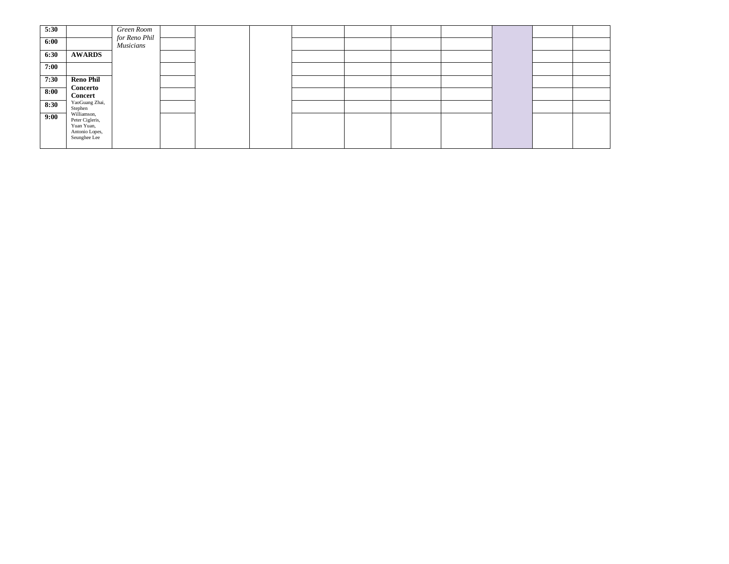| 5:30 |                                                                                | Green Room                        |  |  |  |  |  |
|------|--------------------------------------------------------------------------------|-----------------------------------|--|--|--|--|--|
| 6:00 |                                                                                | for Reno Phil<br><b>Musicians</b> |  |  |  |  |  |
| 6:30 | <b>AWARDS</b>                                                                  |                                   |  |  |  |  |  |
| 7:00 |                                                                                |                                   |  |  |  |  |  |
| 7:30 | <b>Reno Phil</b>                                                               |                                   |  |  |  |  |  |
| 8:00 | Concerto<br><b>Concert</b>                                                     |                                   |  |  |  |  |  |
| 8:30 | YaoGuang Zhai,<br>Stephen                                                      |                                   |  |  |  |  |  |
| 9:00 | Williamson,<br>Peter Cigleris,<br>Yuan Yuan,<br>Antonio Lopes,<br>Seunghee Lee |                                   |  |  |  |  |  |
|      |                                                                                |                                   |  |  |  |  |  |